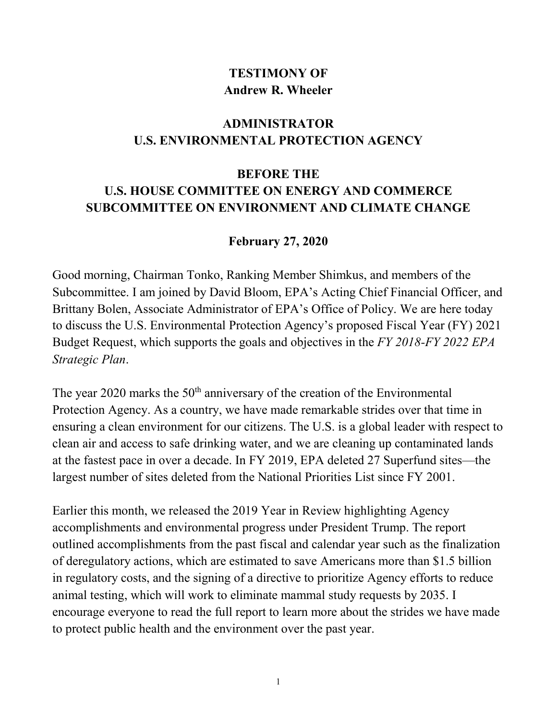## **TESTIMONY OF Andrew R. Wheeler**

## **ADMINISTRATOR U.S. ENVIRONMENTAL PROTECTION AGENCY**

## **BEFORE THE U.S. HOUSE COMMITTEE ON ENERGY AND COMMERCE SUBCOMMITTEE ON ENVIRONMENT AND CLIMATE CHANGE**

## **February 27, 2020**

Good morning, Chairman Tonko, Ranking Member Shimkus, and members of the Subcommittee. I am joined by David Bloom, EPA's Acting Chief Financial Officer, and Brittany Bolen, Associate Administrator of EPA's Office of Policy. We are here today to discuss the U.S. Environmental Protection Agency's proposed Fiscal Year (FY) 2021 Budget Request, which supports the goals and objectives in the *FY 2018-FY 2022 EPA Strategic Plan*.

The year  $2020$  marks the  $50<sup>th</sup>$  anniversary of the creation of the Environmental Protection Agency. As a country, we have made remarkable strides over that time in ensuring a clean environment for our citizens. The U.S. is a global leader with respect to clean air and access to safe drinking water, and we are cleaning up contaminated lands at the fastest pace in over a decade. In FY 2019, EPA deleted 27 Superfund sites—the largest number of sites deleted from the National Priorities List since FY 2001.

Earlier this month, we released the 2019 Year in Review highlighting Agency accomplishments and environmental progress under President Trump. The report outlined accomplishments from the past fiscal and calendar year such as the finalization of deregulatory actions, which are estimated to save Americans more than \$1.5 billion in regulatory costs, and the signing of a directive to prioritize Agency efforts to reduce animal testing, which will work to eliminate mammal study requests by 2035. I encourage everyone to read the full report to learn more about the strides we have made to protect public health and the environment over the past year.

1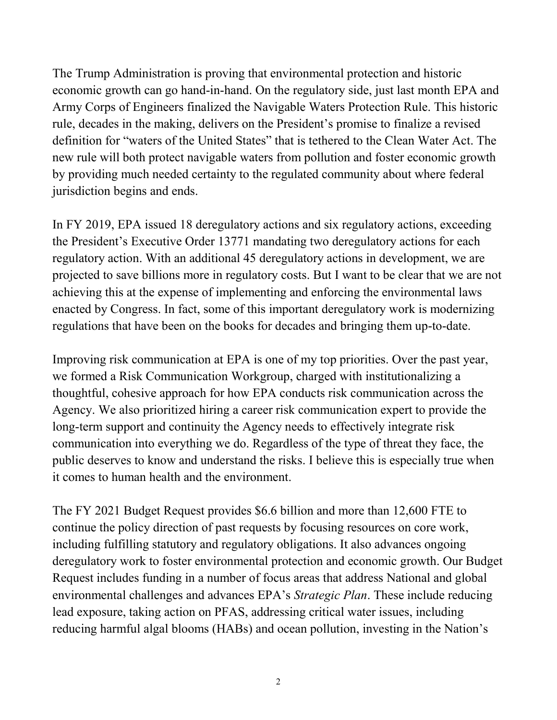The Trump Administration is proving that environmental protection and historic economic growth can go hand-in-hand. On the regulatory side, just last month EPA and Army Corps of Engineers finalized the Navigable Waters Protection Rule. This historic rule, decades in the making, delivers on the President's promise to finalize a revised definition for "waters of the United States" that is tethered to the Clean Water Act. The new rule will both protect navigable waters from pollution and foster economic growth by providing much needed certainty to the regulated community about where federal jurisdiction begins and ends.

In FY 2019, EPA issued 18 deregulatory actions and six regulatory actions, exceeding the President's Executive Order 13771 mandating two deregulatory actions for each regulatory action. With an additional 45 deregulatory actions in development, we are projected to save billions more in regulatory costs. But I want to be clear that we are not achieving this at the expense of implementing and enforcing the environmental laws enacted by Congress. In fact, some of this important deregulatory work is modernizing regulations that have been on the books for decades and bringing them up-to-date.

Improving risk communication at EPA is one of my top priorities. Over the past year, we formed a Risk Communication Workgroup, charged with institutionalizing a thoughtful, cohesive approach for how EPA conducts risk communication across the Agency. We also prioritized hiring a career risk communication expert to provide the long-term support and continuity the Agency needs to effectively integrate risk communication into everything we do. Regardless of the type of threat they face, the public deserves to know and understand the risks. I believe this is especially true when it comes to human health and the environment.

The FY 2021 Budget Request provides \$6.6 billion and more than 12,600 FTE to continue the policy direction of past requests by focusing resources on core work, including fulfilling statutory and regulatory obligations. It also advances ongoing deregulatory work to foster environmental protection and economic growth. Our Budget Request includes funding in a number of focus areas that address National and global environmental challenges and advances EPA's *Strategic Plan*. These include reducing lead exposure, taking action on PFAS, addressing critical water issues, including reducing harmful algal blooms (HABs) and ocean pollution, investing in the Nation's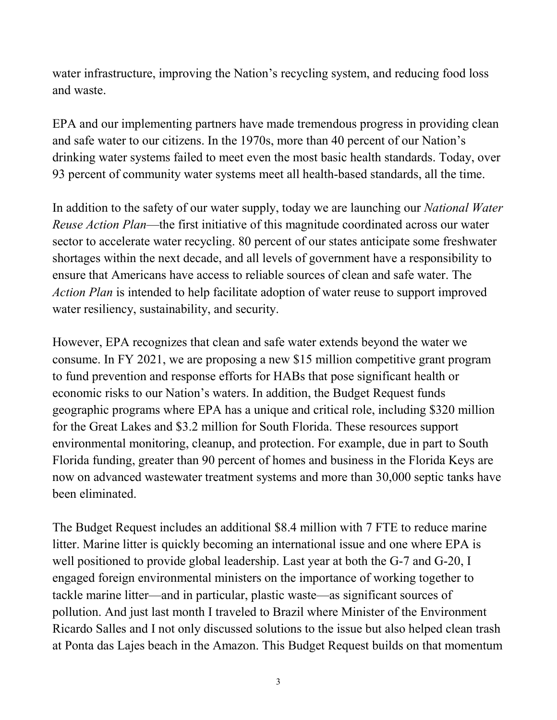water infrastructure, improving the Nation's recycling system, and reducing food loss and waste.

EPA and our implementing partners have made tremendous progress in providing clean and safe water to our citizens. In the 1970s, more than 40 percent of our Nation's drinking water systems failed to meet even the most basic health standards. Today, over 93 percent of community water systems meet all health-based standards, all the time.

In addition to the safety of our water supply, today we are launching our *National Water Reuse Action Plan*—the first initiative of this magnitude coordinated across our water sector to accelerate water recycling. 80 percent of our states anticipate some freshwater shortages within the next decade, and all levels of government have a responsibility to ensure that Americans have access to reliable sources of clean and safe water. The *Action Plan* is intended to help facilitate adoption of water reuse to support improved water resiliency, sustainability, and security.

However, EPA recognizes that clean and safe water extends beyond the water we consume. In FY 2021, we are proposing a new \$15 million competitive grant program to fund prevention and response efforts for HABs that pose significant health or economic risks to our Nation's waters. In addition, the Budget Request funds geographic programs where EPA has a unique and critical role, including \$320 million for the Great Lakes and \$3.2 million for South Florida. These resources support environmental monitoring, cleanup, and protection. For example, due in part to South Florida funding, greater than 90 percent of homes and business in the Florida Keys are now on advanced wastewater treatment systems and more than 30,000 septic tanks have been eliminated.

The Budget Request includes an additional \$8.4 million with 7 FTE to reduce marine litter. Marine litter is quickly becoming an international issue and one where EPA is well positioned to provide global leadership. Last year at both the G-7 and G-20, I engaged foreign environmental ministers on the importance of working together to tackle marine litter—and in particular, plastic waste—as significant sources of pollution. And just last month I traveled to Brazil where Minister of the Environment Ricardo Salles and I not only discussed solutions to the issue but also helped clean trash at Ponta das Lajes beach in the Amazon. This Budget Request builds on that momentum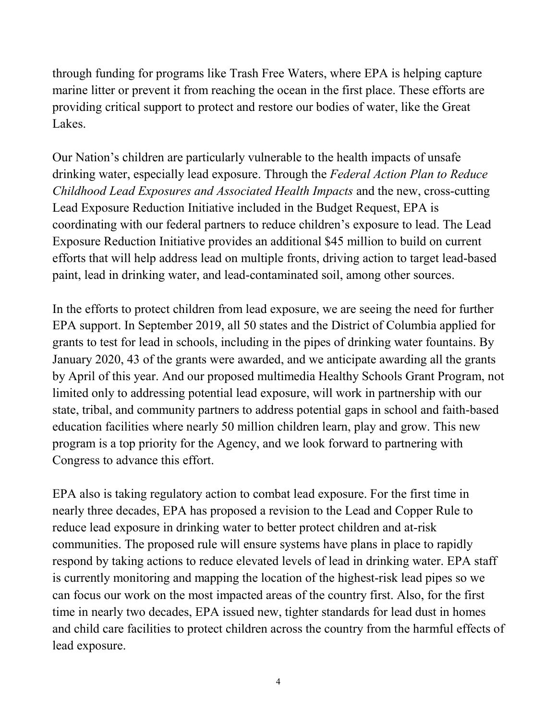through funding for programs like Trash Free Waters, where EPA is helping capture marine litter or prevent it from reaching the ocean in the first place. These efforts are providing critical support to protect and restore our bodies of water, like the Great Lakes.

Our Nation's children are particularly vulnerable to the health impacts of unsafe drinking water, especially lead exposure. Through the *Federal Action Plan to Reduce Childhood Lead Exposures and Associated Health Impacts* and the new, cross-cutting Lead Exposure Reduction Initiative included in the Budget Request, EPA is coordinating with our federal partners to reduce children's exposure to lead. The Lead Exposure Reduction Initiative provides an additional \$45 million to build on current efforts that will help address lead on multiple fronts, driving action to target lead-based paint, lead in drinking water, and lead-contaminated soil, among other sources.

In the efforts to protect children from lead exposure, we are seeing the need for further EPA support. In September 2019, all 50 states and the District of Columbia applied for grants to test for lead in schools, including in the pipes of drinking water fountains. By January 2020, 43 of the grants were awarded, and we anticipate awarding all the grants by April of this year. And our proposed multimedia Healthy Schools Grant Program, not limited only to addressing potential lead exposure, will work in partnership with our state, tribal, and community partners to address potential gaps in school and faith-based education facilities where nearly 50 million children learn, play and grow. This new program is a top priority for the Agency, and we look forward to partnering with Congress to advance this effort.

EPA also is taking regulatory action to combat lead exposure. For the first time in nearly three decades, EPA has proposed a revision to the Lead and Copper Rule to reduce lead exposure in drinking water to better protect children and at-risk communities. The proposed rule will ensure systems have plans in place to rapidly respond by taking actions to reduce elevated levels of lead in drinking water. EPA staff is currently monitoring and mapping the location of the highest-risk lead pipes so we can focus our work on the most impacted areas of the country first. Also, for the first time in nearly two decades, EPA issued new, tighter standards for lead dust in homes and child care facilities to protect children across the country from the harmful effects of lead exposure.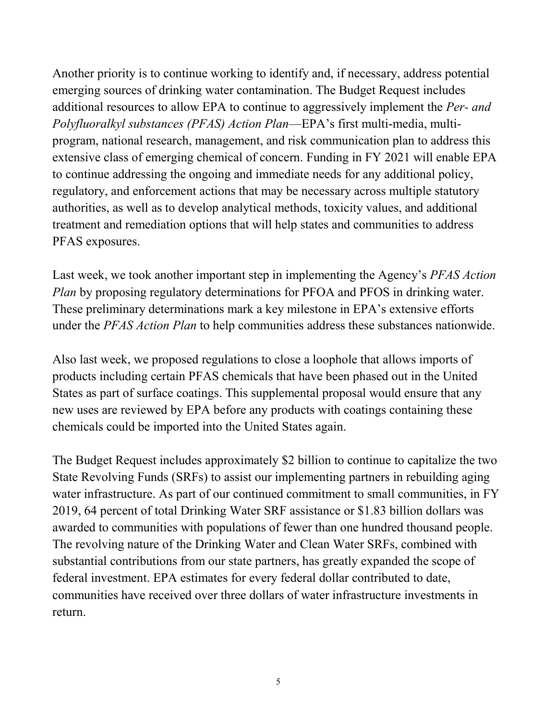Another priority is to continue working to identify and, if necessary, address potential emerging sources of drinking water contamination. The Budget Request includes additional resources to allow EPA to continue to aggressively implement the *Per- and Polyfluoralkyl substances (PFAS) Action Plan*—EPA's first multi-media, multiprogram, national research, management, and risk communication plan to address this extensive class of emerging chemical of concern. Funding in FY 2021 will enable EPA to continue addressing the ongoing and immediate needs for any additional policy, regulatory, and enforcement actions that may be necessary across multiple statutory authorities, as well as to develop analytical methods, toxicity values, and additional treatment and remediation options that will help states and communities to address PFAS exposures.

Last week, we took another important step in implementing the Agency's *PFAS Action Plan* by proposing regulatory determinations for PFOA and PFOS in drinking water. These preliminary determinations mark a key milestone in EPA's extensive efforts under the *PFAS Action Plan* to help communities address these substances nationwide.

Also last week, we proposed regulations to close a loophole that allows imports of products including certain PFAS chemicals that have been phased out in the United States as part of surface coatings. This supplemental proposal would ensure that any new uses are reviewed by EPA before any products with coatings containing these chemicals could be imported into the United States again.

The Budget Request includes approximately \$2 billion to continue to capitalize the two State Revolving Funds (SRFs) to assist our implementing partners in rebuilding aging water infrastructure. As part of our continued commitment to small communities, in FY 2019, 64 percent of total Drinking Water SRF assistance or \$1.83 billion dollars was awarded to communities with populations of fewer than one hundred thousand people. The revolving nature of the Drinking Water and Clean Water SRFs, combined with substantial contributions from our state partners, has greatly expanded the scope of federal investment. EPA estimates for every federal dollar contributed to date, communities have received over three dollars of water infrastructure investments in return.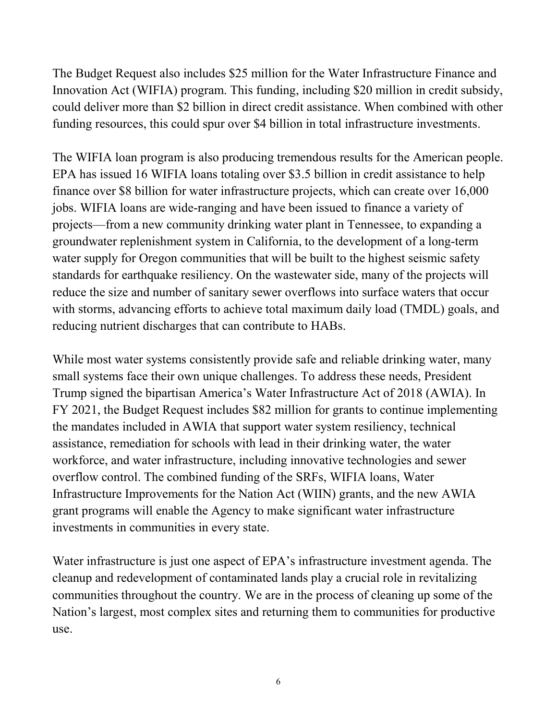The Budget Request also includes \$25 million for the Water Infrastructure Finance and Innovation Act (WIFIA) program. This funding, including \$20 million in credit subsidy, could deliver more than \$2 billion in direct credit assistance. When combined with other funding resources, this could spur over \$4 billion in total infrastructure investments.

The WIFIA loan program is also producing tremendous results for the American people. EPA has issued 16 WIFIA loans totaling over \$3.5 billion in credit assistance to help finance over \$8 billion for water infrastructure projects, which can create over 16,000 jobs. WIFIA loans are wide-ranging and have been issued to finance a variety of projects—from a new community drinking water plant in Tennessee, to expanding a groundwater replenishment system in California, to the development of a long-term water supply for Oregon communities that will be built to the highest seismic safety standards for earthquake resiliency. On the wastewater side, many of the projects will reduce the size and number of sanitary sewer overflows into surface waters that occur with storms, advancing efforts to achieve total maximum daily load (TMDL) goals, and reducing nutrient discharges that can contribute to HABs.

While most water systems consistently provide safe and reliable drinking water, many small systems face their own unique challenges. To address these needs, President Trump signed the bipartisan America's Water Infrastructure Act of 2018 (AWIA). In FY 2021, the Budget Request includes \$82 million for grants to continue implementing the mandates included in AWIA that support water system resiliency, technical assistance, remediation for schools with lead in their drinking water, the water workforce, and water infrastructure, including innovative technologies and sewer overflow control. The combined funding of the SRFs, WIFIA loans, Water Infrastructure Improvements for the Nation Act (WIIN) grants, and the new AWIA grant programs will enable the Agency to make significant water infrastructure investments in communities in every state.

Water infrastructure is just one aspect of EPA's infrastructure investment agenda. The cleanup and redevelopment of contaminated lands play a crucial role in revitalizing communities throughout the country. We are in the process of cleaning up some of the Nation's largest, most complex sites and returning them to communities for productive use.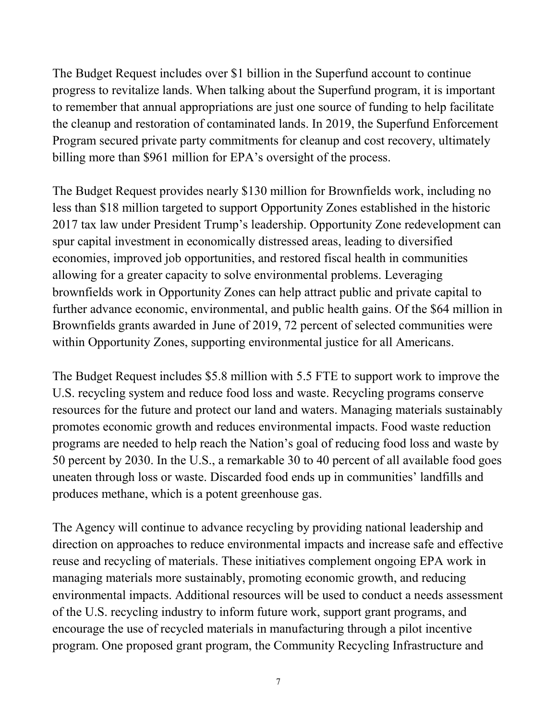The Budget Request includes over \$1 billion in the Superfund account to continue progress to revitalize lands. When talking about the Superfund program, it is important to remember that annual appropriations are just one source of funding to help facilitate the cleanup and restoration of contaminated lands. In 2019, the Superfund Enforcement Program secured private party commitments for cleanup and cost recovery, ultimately billing more than \$961 million for EPA's oversight of the process.

The Budget Request provides nearly \$130 million for Brownfields work, including no less than \$18 million targeted to support Opportunity Zones established in the historic 2017 tax law under President Trump's leadership. Opportunity Zone redevelopment can spur capital investment in economically distressed areas, leading to diversified economies, improved job opportunities, and restored fiscal health in communities allowing for a greater capacity to solve environmental problems. Leveraging brownfields work in Opportunity Zones can help attract public and private capital to further advance economic, environmental, and public health gains. Of the \$64 million in Brownfields grants awarded in June of 2019, 72 percent of selected communities were within Opportunity Zones, supporting environmental justice for all Americans.

The Budget Request includes \$5.8 million with 5.5 FTE to support work to improve the U.S. recycling system and reduce food loss and waste. Recycling programs conserve resources for the future and protect our land and waters. Managing materials sustainably promotes economic growth and reduces environmental impacts. Food waste reduction programs are needed to help reach the Nation's goal of reducing food loss and waste by 50 percent by 2030. In the U.S., a remarkable 30 to 40 percent of all available food goes uneaten through loss or waste. Discarded food ends up in communities' landfills and produces methane, which is a potent greenhouse gas.

The Agency will continue to advance recycling by providing national leadership and direction on approaches to reduce environmental impacts and increase safe and effective reuse and recycling of materials. These initiatives complement ongoing EPA work in managing materials more sustainably, promoting economic growth, and reducing environmental impacts. Additional resources will be used to conduct a needs assessment of the U.S. recycling industry to inform future work, support grant programs, and encourage the use of recycled materials in manufacturing through a pilot incentive program. One proposed grant program, the Community Recycling Infrastructure and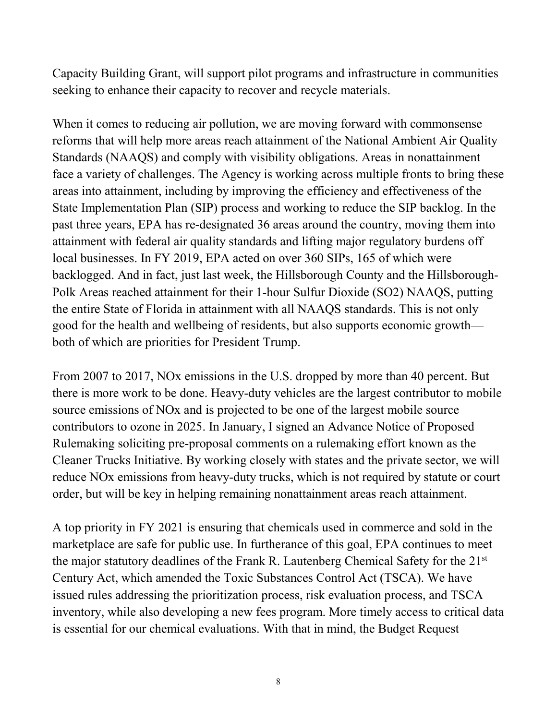Capacity Building Grant, will support pilot programs and infrastructure in communities seeking to enhance their capacity to recover and recycle materials.

When it comes to reducing air pollution, we are moving forward with commonsense reforms that will help more areas reach attainment of the National Ambient Air Quality Standards (NAAQS) and comply with visibility obligations. Areas in nonattainment face a variety of challenges. The Agency is working across multiple fronts to bring these areas into attainment, including by improving the efficiency and effectiveness of the State Implementation Plan (SIP) process and working to reduce the SIP backlog. In the past three years, EPA has re-designated 36 areas around the country, moving them into attainment with federal air quality standards and lifting major regulatory burdens off local businesses. In FY 2019, EPA acted on over 360 SIPs, 165 of which were backlogged. And in fact, just last week, the Hillsborough County and the Hillsborough-Polk Areas reached attainment for their 1-hour Sulfur Dioxide (SO2) NAAQS, putting the entire State of Florida in attainment with all NAAQS standards. This is not only good for the health and wellbeing of residents, but also supports economic growth both of which are priorities for President Trump.

From 2007 to 2017, NOx emissions in the U.S. dropped by more than 40 percent. But there is more work to be done. Heavy-duty vehicles are the largest contributor to mobile source emissions of NOx and is projected to be one of the largest mobile source contributors to ozone in 2025. In January, I signed an Advance Notice of Proposed Rulemaking soliciting pre-proposal comments on a rulemaking effort known as the Cleaner Trucks Initiative. By working closely with states and the private sector, we will reduce NOx emissions from heavy-duty trucks, which is not required by statute or court order, but will be key in helping remaining nonattainment areas reach attainment.

A top priority in FY 2021 is ensuring that chemicals used in commerce and sold in the marketplace are safe for public use. In furtherance of this goal, EPA continues to meet the major statutory deadlines of the Frank R. Lautenberg Chemical Safety for the 21st Century Act, which amended the Toxic Substances Control Act (TSCA). We have issued rules addressing the prioritization process, risk evaluation process, and TSCA inventory, while also developing a new fees program. More timely access to critical data is essential for our chemical evaluations. With that in mind, the Budget Request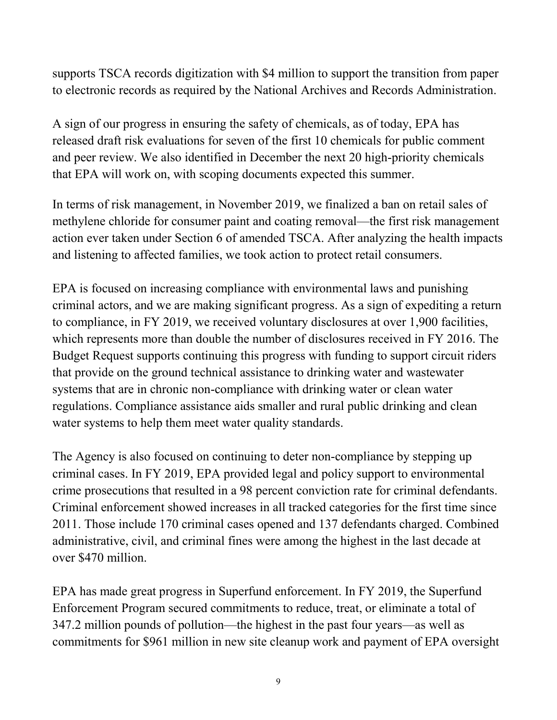supports TSCA records digitization with \$4 million to support the transition from paper to electronic records as required by the National Archives and Records Administration.

A sign of our progress in ensuring the safety of chemicals, as of today, EPA has released draft risk evaluations for seven of the first 10 chemicals for public comment and peer review. We also identified in December the next 20 high-priority chemicals that EPA will work on, with scoping documents expected this summer.

In terms of risk management, in November 2019, we finalized a ban on retail sales of methylene chloride for consumer paint and coating removal—the first risk management action ever taken under Section 6 of amended TSCA. After analyzing the health impacts and listening to affected families, we took action to protect retail consumers.

EPA is focused on increasing compliance with environmental laws and punishing criminal actors, and we are making significant progress. As a sign of expediting a return to compliance, in FY 2019, we received voluntary disclosures at over 1,900 facilities, which represents more than double the number of disclosures received in FY 2016. The Budget Request supports continuing this progress with funding to support circuit riders that provide on the ground technical assistance to drinking water and wastewater systems that are in chronic non-compliance with drinking water or clean water regulations. Compliance assistance aids smaller and rural public drinking and clean water systems to help them meet water quality standards.

The Agency is also focused on continuing to deter non-compliance by stepping up criminal cases. In FY 2019, EPA provided legal and policy support to environmental crime prosecutions that resulted in a 98 percent conviction rate for criminal defendants. Criminal enforcement showed increases in all tracked categories for the first time since 2011. Those include 170 criminal cases opened and 137 defendants charged. Combined administrative, civil, and criminal fines were among the highest in the last decade at over \$470 million.

EPA has made great progress in Superfund enforcement. In FY 2019, the Superfund Enforcement Program secured commitments to reduce, treat, or eliminate a total of 347.2 million pounds of pollution—the highest in the past four years—as well as commitments for \$961 million in new site cleanup work and payment of EPA oversight